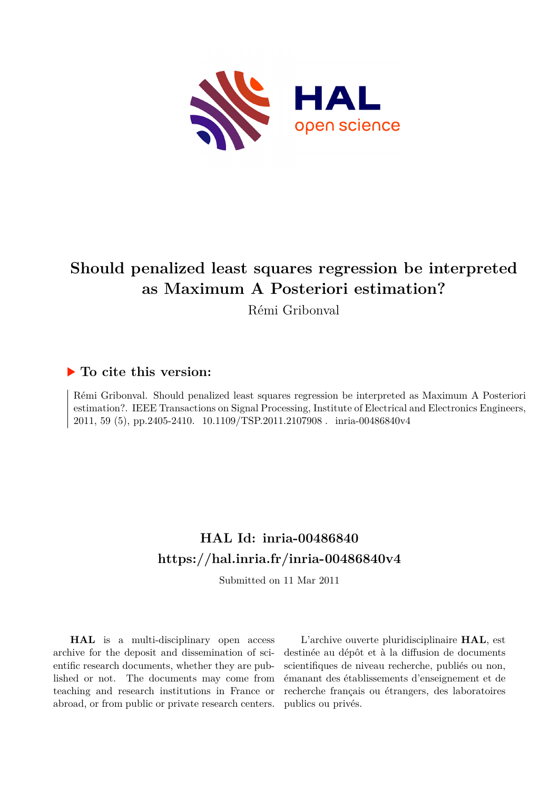

# **Should penalized least squares regression be interpreted as Maximum A Posteriori estimation?**

Rémi Gribonval

## **To cite this version:**

Rémi Gribonval. Should penalized least squares regression be interpreted as Maximum A Posteriori estimation?. IEEE Transactions on Signal Processing, Institute of Electrical and Electronics Engineers, 2011, 59 (5), pp.2405-2410. 10.1109/TSP.2011.2107908. inria-00486840v4

# **HAL Id: inria-00486840 <https://hal.inria.fr/inria-00486840v4>**

Submitted on 11 Mar 2011

**HAL** is a multi-disciplinary open access archive for the deposit and dissemination of scientific research documents, whether they are published or not. The documents may come from teaching and research institutions in France or abroad, or from public or private research centers.

L'archive ouverte pluridisciplinaire **HAL**, est destinée au dépôt et à la diffusion de documents scientifiques de niveau recherche, publiés ou non, émanant des établissements d'enseignement et de recherche français ou étrangers, des laboratoires publics ou privés.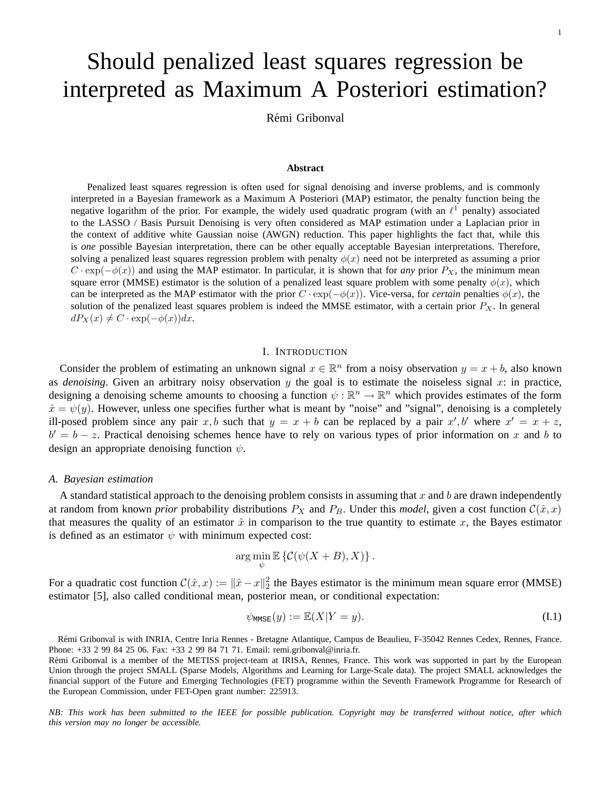# Should penalized least squares regression be interpreted as Maximum A Posteriori estimation?

Rémi Gribonval

#### **Abstract**

Penalized least squares regression is often used for signal denoising and inverse problems, and is commonly interpreted in a Bayesian framework as a Maximum A Posteriori (MAP) estimator, the penalty function being the negative logarithm of the prior. For example, the widely used quadratic program (with an  $\ell^1$  penalty) associated to the LASSO / Basis Pursuit Denoising is very often considered as MAP estimation under a Laplacian prior in the context of additive white Gaussian noise (AWGN) reduction. This paper highlights the fact that, while this is *one* possible Bayesian interpretation, there can be other equally acceptable Bayesian interpretations. Therefore, solving a penalized least squares regression problem with penalty  $\phi(x)$  need not be interpreted as assuming a prior  $C \cdot \exp(-\phi(x))$  and using the MAP estimator. In particular, it is shown that for *any* prior  $P_X$ , the minimum mean square error (MMSE) estimator is the solution of a penalized least square problem with some penalty  $\phi(x)$ , which can be interpreted as the MAP estimator with the prior  $C \cdot \exp(-\phi(x))$ . Vice-versa, for *certain* penalties  $\phi(x)$ , the solution of the penalized least squares problem is indeed the MMSE estimator, with a certain prior  $P_X$ . In general  $dP_X(x) \neq C \cdot \exp(-\phi(x))dx$ .

### I. INTRODUCTION

Consider the problem of estimating an unknown signal  $x \in \mathbb{R}^n$  from a noisy observation  $y = x + b$ , also known as *denoising*. Given an arbitrary noisy observation  $y$  the goal is to estimate the noiseless signal  $x$ : in practice, designing a denoising scheme amounts to choosing a function  $\psi : \mathbb{R}^n \to \mathbb{R}^n$  which provides estimates of the form  $\hat{x} = \psi(y)$ . However, unless one specifies further what is meant by "noise" and "signal", denoising is a completely ill-posed problem since any pair x, b such that  $y = x + b$  can be replaced by a pair  $x', b'$  where  $x' = x + z$ ,  $b' = b - z$ . Practical denoising schemes hence have to rely on various types of prior information on x and b to design an appropriate denoising function  $\psi$ .

#### *A. Bayesian estimation*

A standard statistical approach to the denoising problem consists in assuming that x and b are drawn independently at random from known *prior* probability distributions  $P_X$  and  $P_B$ . Under this *model*, given a cost function  $C(\hat{x},x)$ that measures the quality of an estimator  $\hat{x}$  in comparison to the true quantity to estimate x, the Bayes estimator is defined as an estimator  $\psi$  with minimum expected cost:

$$
\arg\min_{\psi} \mathbb{E}\left\{ \mathcal{C}(\psi(X+B),X) \right\}.
$$

For a quadratic cost function  $C(\hat{x}, x) := ||\hat{x} - x||_2^2$  the Bayes estimator is the minimum mean square error (MMSE) estimator [5], also called conditional mean, posterior mean, or conditional expectation:

$$
\psi_{\text{MMSE}}(y) := \mathbb{E}(X|Y=y). \tag{I.1}
$$

*NB: This work has been submitted to the IEEE for possible publication. Copyright may be transferred without notice, after which this version may no longer be accessible.*

R´emi Gribonval is with INRIA, Centre Inria Rennes - Bretagne Atlantique, Campus de Beaulieu, F-35042 Rennes Cedex, Rennes, France. Phone: +33 2 99 84 25 06. Fax: +33 2 99 84 71 71. Email: remi.gribonval@inria.fr.

Rémi Gribonval is a member of the METISS project-team at IRISA, Rennes, France. This work was supported in part by the European Union through the project SMALL (Sparse Models, Algorithms and Learning for Large-Scale data). The project SMALL acknowledges the financial support of the Future and Emerging Technologies (FET) programme within the Seventh Framework Programme for Research of the European Commission, under FET-Open grant number: 225913.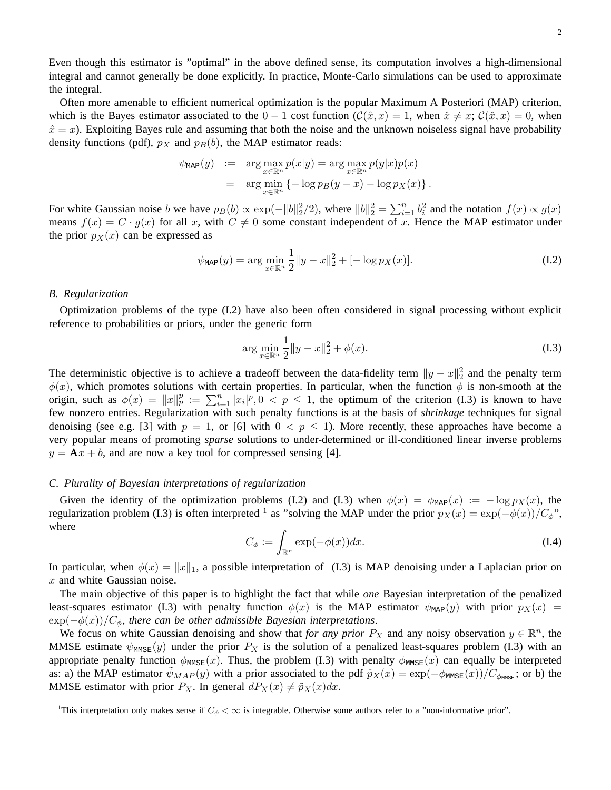Even though this estimator is "optimal" in the above defined sense, its computation involves a high-dimensional integral and cannot generally be done explicitly. In practice, Monte-Carlo simulations can be used to approximate the integral.

Often more amenable to efficient numerical optimization is the popular Maximum A Posteriori (MAP) criterion, which is the Bayes estimator associated to the  $0 - 1$  cost function  $(\mathcal{C}(\hat{x}, x) = 1)$ , when  $\hat{x} \neq x$ ;  $\mathcal{C}(\hat{x}, x) = 0$ , when  $\hat{x} = x$ ). Exploiting Bayes rule and assuming that both the noise and the unknown noiseless signal have probability density functions (pdf),  $p_X$  and  $p_B(b)$ , the MAP estimator reads:

$$
\psi_{\text{MAP}}(y) := \arg \max_{x \in \mathbb{R}^n} p(x|y) = \arg \max_{x \in \mathbb{R}^n} p(y|x)p(x)
$$
  
= 
$$
\arg \min_{x \in \mathbb{R}^n} \left\{-\log p_B(y-x) - \log p_X(x)\right\}.
$$

For white Gaussian noise b we have  $p_B(b) \propto \exp(-||b||_2^2/2)$ , where  $||b||_2^2 = \sum_{i=1}^n b_i^2$  and the notation  $f(x) \propto g(x)$ means  $f(x) = C \cdot g(x)$  for all x, with  $C \neq 0$  some constant independent of x. Hence the MAP estimator under the prior  $p_X(x)$  can be expressed as

$$
\psi_{\text{MAP}}(y) = \arg \min_{x \in \mathbb{R}^n} \frac{1}{2} \|y - x\|_2^2 + [-\log p_X(x)]. \tag{I.2}
$$

#### *B. Regularization*

Optimization problems of the type (I.2) have also been often considered in signal processing without explicit reference to probabilities or priors, under the generic form

$$
\arg\min_{x \in \mathbb{R}^n} \frac{1}{2} \|y - x\|_2^2 + \phi(x). \tag{I.3}
$$

The deterministic objective is to achieve a tradeoff between the data-fidelity term  $||y - x||_2^2$  and the penalty term  $\phi(x)$ , which promotes solutions with certain properties. In particular, when the function  $\phi$  is non-smooth at the origin, such as  $\phi(x) = ||x||_p^p := \sum_{i=1}^n |x_i|^p$ ,  $0 \le p \le 1$ , the optimum of the criterion (I.3) is known to have few nonzero entries. Regularization with such penalty functions is at the basis of *shrinkage* techniques for signal denoising (see e.g. [3] with  $p = 1$ , or [6] with  $0 < p \le 1$ ). More recently, these approaches have become a very popular means of promoting *sparse* solutions to under-determined or ill-conditioned linear inverse problems  $y = Ax + b$ , and are now a key tool for compressed sensing [4].

#### *C. Plurality of Bayesian interpretations of regularization*

Given the identity of the optimization problems (I.2) and (I.3) when  $\phi(x) = \phi_{MAP}(x) := -\log p_X(x)$ , the regularization problem (I.3) is often interpreted <sup>1</sup> as "solving the MAP under the prior  $p_X(x) = \exp(-\phi(x))/C_{\phi}$ ", where

$$
C_{\phi} := \int_{\mathbb{R}^n} \exp(-\phi(x)) dx.
$$
 (I.4)

In particular, when  $\phi(x) = ||x||_1$ , a possible interpretation of (I.3) is MAP denoising under a Laplacian prior on  $x$  and white Gaussian noise.

The main objective of this paper is to highlight the fact that while *one* Bayesian interpretation of the penalized least-squares estimator (I.3) with penalty function  $\phi(x)$  is the MAP estimator  $\psi_{\text{MAP}}(y)$  with prior  $p_X(x)$  =  $\exp(-\phi(x))/C_{\phi}$ , there can be other admissible Bayesian interpretations.

We focus on white Gaussian denoising and show that *for any prior*  $P_X$  and any noisy observation  $y \in \mathbb{R}^n$ , the MMSE estimate  $\psi_{\text{MMSE}}(y)$  under the prior  $P_X$  is the solution of a penalized least-squares problem (I.3) with an appropriate penalty function  $\phi_{MMSE}(x)$ . Thus, the problem (I.3) with penalty  $\phi_{MMSE}(x)$  can equally be interpreted as: a) the MAP estimator  $\psi_{MAP}(y)$  with a prior associated to the pdf  $\tilde{p}_X(x) = \exp(-\phi_{MMSE}(x))/C_{\phi_{MMSE}}$ ; or b) the MMSE estimator with prior  $P_X$ . In general  $dP_X(x) \neq \tilde{p}_X(x)dx$ .

<sup>&</sup>lt;sup>1</sup>This interpretation only makes sense if  $C_{\phi} < \infty$  is integrable. Otherwise some authors refer to a "non-informative prior".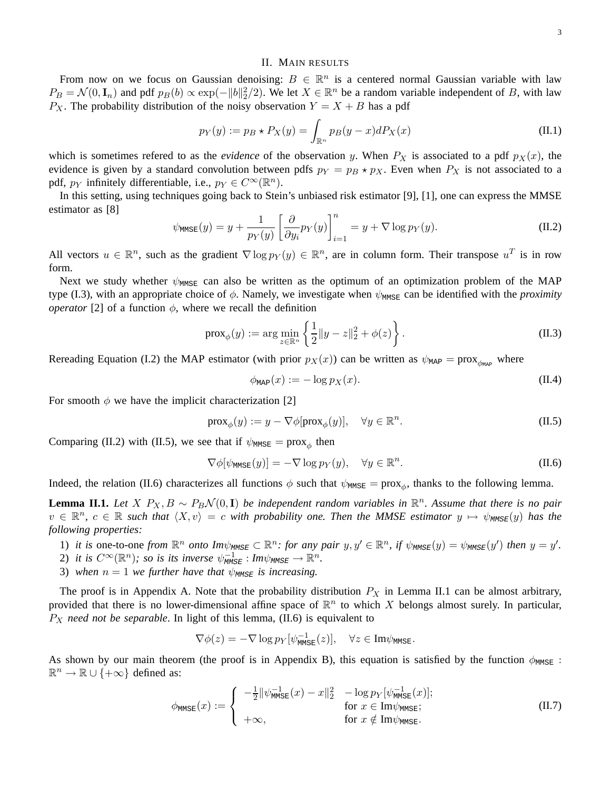#### II. MAIN RESULTS

From now on we focus on Gaussian denoising:  $B \in \mathbb{R}^n$  is a centered normal Gaussian variable with law  $P_B = \mathcal{N}(0, \mathbf{I}_n)$  and pdf  $p_B(b) \propto \exp(-||b||_2^2/2)$ . We let  $X \in \mathbb{R}^n$  be a random variable independent of B, with law  $P_X$ . The probability distribution of the noisy observation  $Y = X + B$  has a pdf

$$
p_Y(y) := p_B \star P_X(y) = \int_{\mathbb{R}^n} p_B(y - x) dP_X(x)
$$
 (II.1)

which is sometimes refered to as the *evidence* of the observation y. When  $P_X$  is associated to a pdf  $p_X(x)$ , the evidence is given by a standard convolution between pdfs  $p_Y = p_B \star p_X$ . Even when  $P_X$  is not associated to a pdf,  $p_Y$  infinitely differentiable, i.e.,  $p_Y \in C^{\infty}(\mathbb{R}^n)$ .

In this setting, using techniques going back to Stein's unbiased risk estimator [9], [1], one can express the MMSE estimator as [8]

$$
\psi_{\text{MMSE}}(y) = y + \frac{1}{p_Y(y)} \left[ \frac{\partial}{\partial y_i} p_Y(y) \right]_{i=1}^n = y + \nabla \log p_Y(y). \tag{II.2}
$$

All vectors  $u \in \mathbb{R}^n$ , such as the gradient  $\nabla \log p_Y(y) \in \mathbb{R}^n$ , are in column form. Their transpose  $u^T$  is in row form.

Next we study whether  $\psi_{MMSE}$  can also be written as the optimum of an optimization problem of the MAP type (I.3), with an appropriate choice of  $\phi$ . Namely, we investigate when  $\psi_{M\text{MSE}}$  can be identified with the *proximity operator* [2] of a function  $\phi$ , where we recall the definition

$$
\text{prox}_{\phi}(y) := \arg \min_{z \in \mathbb{R}^n} \left\{ \frac{1}{2} ||y - z||_2^2 + \phi(z) \right\}. \tag{II.3}
$$

Rereading Equation (I.2) the MAP estimator (with prior  $p_X(x)$ ) can be written as  $\psi_{\text{MAP}} = \text{prox}_{\phi_{\text{MAP}}}$  where

$$
\phi_{\text{MAP}}(x) := -\log p_X(x). \tag{II.4}
$$

For smooth  $\phi$  we have the implicit characterization [2]

$$
\text{prox}_{\phi}(y) := y - \nabla \phi[\text{prox}_{\phi}(y)], \quad \forall y \in \mathbb{R}^n. \tag{II.5}
$$

Comparing (II.2) with (II.5), we see that if  $\psi_{\text{MMSE}} = \text{prox}_{\phi}$  then

$$
\nabla \phi[\psi_{\text{MMSE}}(y)] = -\nabla \log p_Y(y), \quad \forall y \in \mathbb{R}^n.
$$
 (II.6)

Indeed, the relation (II.6) characterizes all functions  $\phi$  such that  $\psi_{MMSE} = \text{prox}_{\phi}$ , thanks to the following lemma.

**Lemma II.1.** Let  $X$   $P_X, B \sim P_B \mathcal{N}(0, \mathbf{I})$  be independent random variables in  $\mathbb{R}^n$ . Assume that there is no pair  $v \in \mathbb{R}^n$ ,  $c \in \mathbb{R}$  such that  $\langle X, v \rangle = c$  with probability one. Then the MMSE estimator  $y \mapsto \psi_{\text{MMSE}}(y)$  has the *following properties:*

- 1) *it is* one-to-one *from*  $\mathbb{R}^n$  *onto*  $Im\psi_{MMSE} \subset \mathbb{R}^n$ *: for any pair*  $y, y' \in \mathbb{R}^n$ *, if*  $\psi_{MMSE}(y) = \psi_{MMSE}(y')$  then  $y = y'$ *.*
- 2) it is  $C^{\infty}(\mathbb{R}^n)$ ; so is its inverse  $\psi_{\text{MMSE}}^{-1}: \text{Im}\psi_{\text{MMSE}} \to \mathbb{R}^n$ .
- 3) when  $n = 1$  we further have that  $\psi_{\text{MMSE}}$  is increasing.

The proof is in Appendix A. Note that the probability distribution  $P_X$  in Lemma II.1 can be almost arbitrary, provided that there is no lower-dimensional affine space of  $\mathbb{R}^n$  to which X belongs almost surely. In particular,  $P_X$  *need not be separable*. In light of this lemma, (II.6) is equivalent to

$$
\nabla \phi(z) = -\nabla \log p_Y[\psi_{\text{MMSE}}^{-1}(z)], \quad \forall z \in \text{Im}\psi_{\text{MMSE}}.
$$

As shown by our main theorem (the proof is in Appendix B), this equation is satisfied by the function  $\phi_{\text{MMSE}}$ :  $\mathbb{R}^n \to \mathbb{R} \cup \{+\infty\}$  defined as:

$$
\phi_{\text{MMSE}}(x) := \begin{cases}\n-\frac{1}{2} \|\psi_{\text{MMSE}}^{-1}(x) - x\|_2^2 & -\log p_Y[\psi_{\text{MMSE}}^{-1}(x)]; \\
\text{for } x \in \text{Im}\psi_{\text{MMSE}}; \\
+\infty, & \text{for } x \notin \text{Im}\psi_{\text{MMSE}}.\n\end{cases}
$$
\n(II.7)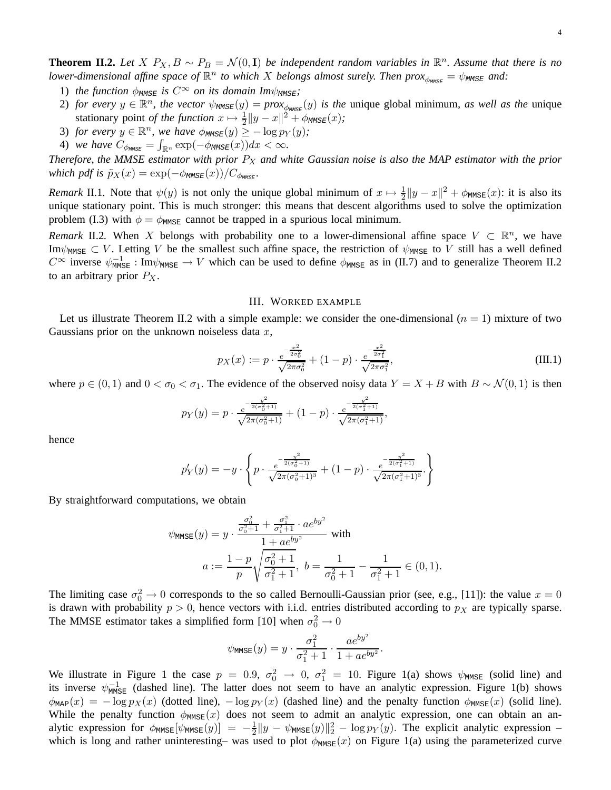**Theorem II.2.** Let  $X$   $P_X, B \sim P_B = \mathcal{N}(0, I)$  be independent random variables in  $\mathbb{R}^n$ . Assume that there is no *lower-dimensional affine space of*  $\mathbb{R}^n$  to which X *belongs almost surely. Then prox* $\phi_{\text{MMSE}} = \psi_{\text{MMSE}}$  and:

- 1) *the function*  $\phi_{MMSE}$  *is*  $C^{\infty}$  *on its domain Im* $\psi_{MMSE}$ *;*
- 2) *for every*  $y \in \mathbb{R}^n$ , the vector  $\psi_{\text{MMSE}}(y) = prox_{\phi_{\text{MMSE}}}(y)$  *is the* unique global minimum, *as well as the* unique stationary point *of the function*  $x \mapsto \frac{1}{2} ||y - x||^2 + \phi_{MMSE}(x)$ ;
- 3) *for every*  $y \in \mathbb{R}^n$ , we have  $\phi_{MMSE}(y) \geq -\log p_Y(y)$ ;
- 4) *we have*  $C_{\phi_{MMSE}} = \int_{\mathbb{R}^n} \exp(-\phi_{MMSE}(x))dx < \infty$ .

*Therefore, the MMSE estimator with prior*  $P_X$  *and white Gaussian noise is also the MAP estimator with the prior which pdf is*  $\tilde{p}_X(x) = \exp(-\phi_{\text{MMSE}}(x))/C_{\phi_{\text{MMSE}}}$ *.* 

*Remark* II.1. Note that  $\psi(y)$  is not only the unique global minimum of  $x \mapsto \frac{1}{2} ||y - x||^2 + \phi_{MMSE}(x)$ : it is also its unique stationary point. This is much stronger: this means that descent algorithms used to solve the optimization problem (I.3) with  $\phi = \phi_{MMSE}$  cannot be trapped in a spurious local minimum.

*Remark* II.2. When X belongs with probability one to a lower-dimensional affine space  $V \subset \mathbb{R}^n$ , we have Im $\psi_{\text{MMSE}} \subset V$ . Letting V be the smallest such affine space, the restriction of  $\psi_{\text{MMSE}}$  to V still has a well defined  $C^{\infty}$  inverse  $\psi_{M\text{MSE}}^{-1}: \text{Im}\psi_{M\text{MSE}} \to V$  which can be used to define  $\phi_{M\text{MSE}}$  as in (II.7) and to generalize Theorem II.2 to an arbitrary prior  $P_X$ .

#### III. WORKED EXAMPLE

Let us illustrate Theorem II.2 with a simple example: we consider the one-dimensional  $(n = 1)$  mixture of two Gaussians prior on the unknown noiseless data  $x$ ,

$$
p_X(x) := p \cdot \frac{e^{-\frac{x^2}{2\sigma_0^2}}}{\sqrt{2\pi\sigma_0^2}} + (1-p) \cdot \frac{e^{-\frac{x^2}{2\sigma_1^2}}}{\sqrt{2\pi\sigma_1^2}},
$$
\n(III.1)

where  $p \in (0,1)$  and  $0 < \sigma_0 < \sigma_1$ . The evidence of the observed noisy data  $Y = X + B$  with  $B \sim \mathcal{N}(0,1)$  is then

$$
p_Y(y) = p \cdot \frac{e^{-\frac{y^2}{2(\sigma_0^2+1)}}}{\sqrt{2\pi(\sigma_0^2+1)}} + (1-p) \cdot \frac{e^{-\frac{y^2}{2(\sigma_1^2+1)}}}{\sqrt{2\pi(\sigma_1^2+1)}},
$$

hence

$$
p'_{Y}(y) = -y \cdot \left\{ p \cdot \frac{e^{-\frac{y^2}{2(\sigma_0^2 + 1)}}}{\sqrt{2\pi(\sigma_0^2 + 1)^3}} + (1 - p) \cdot \frac{e^{-\frac{y^2}{2(\sigma_1^2 + 1)}}}{\sqrt{2\pi(\sigma_1^2 + 1)^3}} \right\}
$$

By straightforward computations, we obtain

$$
\psi_{\text{MMSE}}(y) = y \cdot \frac{\frac{\sigma_0^2}{\sigma_0^2 + 1} + \frac{\sigma_1^2}{\sigma_1^2 + 1} \cdot ae^{by^2}}{1 + ae^{by^2}} \text{ with}
$$
\n
$$
a := \frac{1 - p}{p} \sqrt{\frac{\sigma_0^2 + 1}{\sigma_1^2 + 1}}, \ b = \frac{1}{\sigma_0^2 + 1} - \frac{1}{\sigma_1^2 + 1} \in (0, 1).
$$

The limiting case  $\sigma_0^2 \to 0$  corresponds to the so called Bernoulli-Gaussian prior (see, e.g., [11]): the value  $x = 0$ is drawn with probability  $p > 0$ , hence vectors with i.i.d. entries distributed according to  $p<sub>X</sub>$  are typically sparse. The MMSE estimator takes a simplified form [10] when  $\sigma_0^2 \to 0$ 

$$
\psi_{\text{MMSE}}(y) = y \cdot \frac{\sigma_1^2}{\sigma_1^2 + 1} \cdot \frac{a e^{by^2}}{1 + a e^{by^2}}.
$$

We illustrate in Figure 1 the case  $p = 0.9$ ,  $\sigma_0^2 \to 0$ ,  $\sigma_1^2 = 10$ . Figure 1(a) shows  $\psi_{\text{MMSE}}$  (solid line) and its inverse  $\psi_{\text{MMSE}}^{-1}$  (dashed line). The latter does not seem to have an analytic expression. Figure 1(b) shows  $\phi_{\text{MAP}}(x) = -\log p_X(x)$  (dotted line),  $-\log p_Y(x)$  (dashed line) and the penalty function  $\phi_{\text{MMSE}}(x)$  (solid line). While the penalty function  $\phi_{MMSE}(x)$  does not seem to admit an analytic expression, one can obtain an analytic expression for  $\phi_{\text{MMSE}}[\psi_{\text{MMSE}}(y)] = -\frac{1}{2}$  $\frac{1}{2}||y - \psi_{\text{MMSE}}(y)||_2^2 - \log p_Y(y)$ . The explicit analytic expression – which is long and rather uninteresting– was used to plot  $\phi_{MMSE}(x)$  on Figure 1(a) using the parameterized curve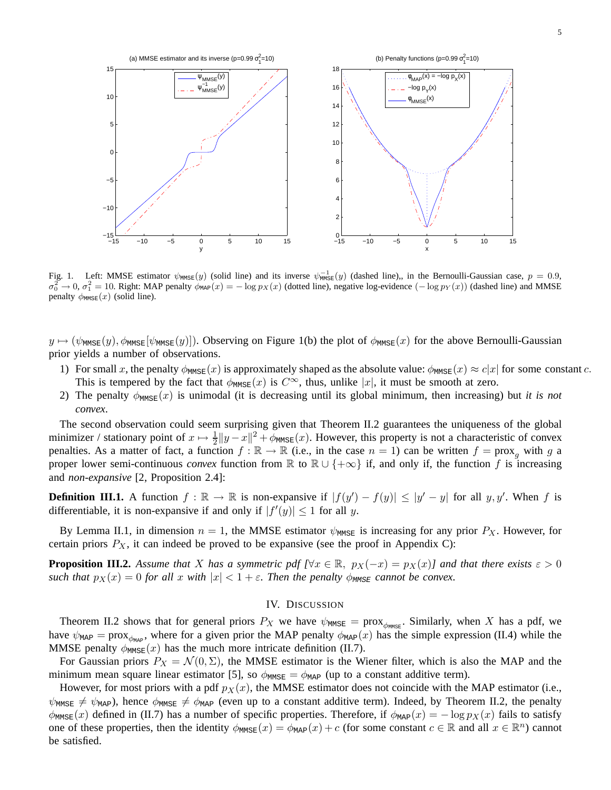

Fig. 1. Left: MMSE estimator  $\psi_{MMSE}(y)$  (solid line) and its inverse  $\psi_{MMSE}^{-1}(y)$  (dashed line),, in the Bernoulli-Gaussian case,  $p = 0.9$ ,  $\sigma_0^2 \to 0$ ,  $\sigma_1^2 = 10$ . Right: MAP penalty  $\phi_{\text{MAP}}(x) = -\log p_X(x)$  (dotted line), negative log-evidence  $(-\log p_Y(x))$  (dashed line) and MMSE penalty  $\phi_{\text{MMSE}}(x)$  (solid line).

 $y \mapsto (\psi_{\text{MMSE}}(y), \phi_{\text{MMSE}}(y))$ . Observing on Figure 1(b) the plot of  $\phi_{\text{MMSE}}(x)$  for the above Bernoulli-Gaussian prior yields a number of observations.

- 1) For small x, the penalty  $\phi_{\text{MMSE}}(x)$  is approximately shaped as the absolute value:  $\phi_{\text{MMSE}}(x) \approx c|x|$  for some constant c. This is tempered by the fact that  $\phi_{MMSE}(x)$  is  $C^{\infty}$ , thus, unlike |x|, it must be smooth at zero.
- 2) The penalty  $\phi_{MMSE}(x)$  is unimodal (it is decreasing until its global minimum, then increasing) but *it is not convex*.

The second observation could seem surprising given that Theorem II.2 guarantees the uniqueness of the global minimizer / stationary point of  $x \mapsto \frac{1}{2} ||y - x||^2 + \phi_{MMSE}(x)$ . However, this property is not a characteristic of convex penalties. As a matter of fact, a function  $f : \mathbb{R} \to \mathbb{R}$  (i.e., in the case  $n = 1$ ) can be written  $f = prox_a$  with g a proper lower semi-continuous *convex* function from R to  $\mathbb{R} \cup \{+\infty\}$  if, and only if, the function f is increasing and *non-expansive* [2, Proposition 2.4]:

**Definition III.1.** A function  $f : \mathbb{R} \to \mathbb{R}$  is non-expansive if  $|f(y') - f(y)| \le |y' - y|$  for all y, y'. When f is differentiable, it is non-expansive if and only if  $|f'(y)| \le 1$  for all y.

By Lemma II.1, in dimension  $n = 1$ , the MMSE estimator  $\psi_{MMSE}$  is increasing for any prior  $P_X$ . However, for certain priors  $P_X$ , it can indeed be proved to be expansive (see the proof in Appendix C):

**Proposition III.2.** Assume that X has a symmetric pdf  $[\forall x \in \mathbb{R}, p_X(-x) = p_X(x)$  and that there exists  $\varepsilon > 0$ *such that*  $p_X(x) = 0$  *for all* x *with*  $|x| < 1 + \varepsilon$ . Then the penalty  $\phi_{\text{MMSE}}$  cannot be convex.

#### IV. DISCUSSION

Theorem II.2 shows that for general priors  $P_X$  we have  $\psi_{M MSE} = \text{prox}_{\phi_{M MSE}}$ . Similarly, when X has a pdf, we have  $\psi_{MAP} = \text{prox}_{\phi_{MAP}}$ , where for a given prior the MAP penalty  $\phi_{MAP}(x)$  has the simple expression (II.4) while the MMSE penalty  $\phi_{MMSE}(x)$  has the much more intricate definition (II.7).

For Gaussian priors  $P_X = \mathcal{N}(0, \Sigma)$ , the MMSE estimator is the Wiener filter, which is also the MAP and the minimum mean square linear estimator [5], so  $\phi_{MMSE} = \phi_{MAP}$  (up to a constant additive term).

However, for most priors with a pdf  $p_X(x)$ , the MMSE estimator does not coincide with the MAP estimator (i.e.,  $\psi_{\text{MMSE}} \neq \psi_{\text{MAP}}$ ), hence  $\phi_{\text{MMSE}} \neq \phi_{\text{MAP}}$  (even up to a constant additive term). Indeed, by Theorem II.2, the penalty  $\phi_{\text{MMSE}}(x)$  defined in (II.7) has a number of specific properties. Therefore, if  $\phi_{\text{MAP}}(x) = -\log p_X(x)$  fails to satisfy one of these properties, then the identity  $\phi_{\text{MMSE}}(x) = \phi_{\text{MAP}}(x) + c$  (for some constant  $c \in \mathbb{R}$  and all  $x \in \mathbb{R}^n$ ) cannot be satisfied.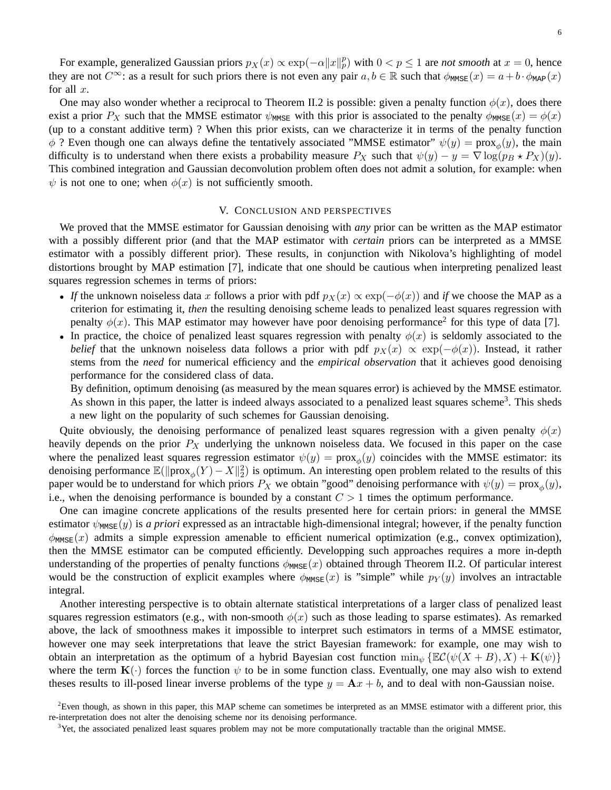For example, generalized Gaussian priors  $p_X(x) \propto \exp(-\alpha ||x||_p^p)$  with  $0 < p \le 1$  are *not smooth* at  $x = 0$ , hence they are not  $C^{\infty}$ : as a result for such priors there is not even any pair  $a, b \in \mathbb{R}$  such that  $\phi_{M\text{MSE}}(x) = a + b \cdot \phi_{M\text{AP}}(x)$ for all  $x$ .

One may also wonder whether a reciprocal to Theorem II.2 is possible: given a penalty function  $\phi(x)$ , does there exist a prior  $P_X$  such that the MMSE estimator  $\psi_{MMSE}$  with this prior is associated to the penalty  $\phi_{MMSE}(x) = \phi(x)$ (up to a constant additive term) ? When this prior exists, can we characterize it in terms of the penalty function  $\phi$  ? Even though one can always define the tentatively associated "MMSE estimator"  $\psi(y) = \text{prox}_{\phi}(y)$ , the main difficulty is to understand when there exists a probability measure  $P_X$  such that  $\psi(y) - y = \nabla \log(p_B \star P_X)(y)$ . This combined integration and Gaussian deconvolution problem often does not admit a solution, for example: when  $\psi$  is not one to one; when  $\phi(x)$  is not sufficiently smooth.

#### V. CONCLUSION AND PERSPECTIVES

We proved that the MMSE estimator for Gaussian denoising with *any* prior can be written as the MAP estimator with a possibly different prior (and that the MAP estimator with *certain* priors can be interpreted as a MMSE estimator with a possibly different prior). These results, in conjunction with Nikolova's highlighting of model distortions brought by MAP estimation [7], indicate that one should be cautious when interpreting penalized least squares regression schemes in terms of priors:

- *If* the unknown noiseless data x follows a prior with pdf  $p_X(x) \propto \exp(-\phi(x))$  and *if* we choose the MAP as a criterion for estimating it, *then* the resulting denoising scheme leads to penalized least squares regression with penalty  $\phi(x)$ . This MAP estimator may however have poor denoising performance<sup>2</sup> for this type of data [7].
- In practice, the choice of penalized least squares regression with penalty  $\phi(x)$  is seldomly associated to the *belief* that the unknown noiseless data follows a prior with pdf  $p_X(x) \propto \exp(-\phi(x))$ . Instead, it rather stems from the *need* for numerical efficiency and the *empirical observation* that it achieves good denoising performance for the considered class of data.

By definition, optimum denoising (as measured by the mean squares error) is achieved by the MMSE estimator. As shown in this paper, the latter is indeed always associated to a penalized least squares scheme<sup>3</sup>. This sheds a new light on the popularity of such schemes for Gaussian denoising.

Quite obviously, the denoising performance of penalized least squares regression with a given penalty  $\phi(x)$ heavily depends on the prior  $P_X$  underlying the unknown noiseless data. We focused in this paper on the case where the penalized least squares regression estimator  $\psi(y) = \text{prox}_{\phi}(y)$  coincides with the MMSE estimator: its denoising performance  $\mathbb{E}(\|\text{prox}_{\phi}(Y) - X\|_2^2)$  is optimum. An interesting open problem related to the results of this paper would be to understand for which priors  $P_X$  we obtain "good" denoising performance with  $\psi(y) = \text{prox}_{\phi}(y)$ , i.e., when the denoising performance is bounded by a constant  $C > 1$  times the optimum performance.

One can imagine concrete applications of the results presented here for certain priors: in general the MMSE estimator  $\psi_{\text{MMSE}}(y)$  is *a priori* expressed as an intractable high-dimensional integral; however, if the penalty function  $\phi_{MMSE}(x)$  admits a simple expression amenable to efficient numerical optimization (e.g., convex optimization), then the MMSE estimator can be computed efficiently. Developping such approaches requires a more in-depth understanding of the properties of penalty functions  $\phi_{M MSE}(x)$  obtained through Theorem II.2. Of particular interest would be the construction of explicit examples where  $\phi_{MMSE}(x)$  is "simple" while  $p_Y(y)$  involves an intractable integral.

Another interesting perspective is to obtain alternate statistical interpretations of a larger class of penalized least squares regression estimators (e.g., with non-smooth  $\phi(x)$  such as those leading to sparse estimates). As remarked above, the lack of smoothness makes it impossible to interpret such estimators in terms of a MMSE estimator, however one may seek interpretations that leave the strict Bayesian framework: for example, one may wish to obtain an interpretation as the optimum of a hybrid Bayesian cost function  $\min_{\psi} \{ \mathbb{E} C(\psi(X + B), X) + \mathbf{K}(\psi) \}$ where the term  $\mathbf{K}(\cdot)$  forces the function  $\psi$  to be in some function class. Eventually, one may also wish to extend theses results to ill-posed linear inverse problems of the type  $y = Ax + b$ , and to deal with non-Gaussian noise.

 $2$ Even though, as shown in this paper, this MAP scheme can sometimes be interpreted as an MMSE estimator with a different prior, this re-interpretation does not alter the denoising scheme nor its denoising performance.

 $3$ Yet, the associated penalized least squares problem may not be more computationally tractable than the original MMSE.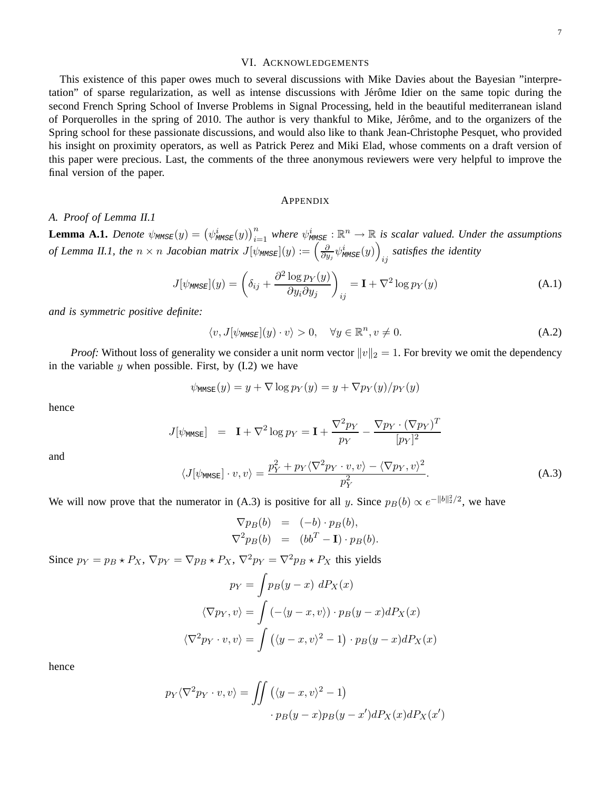#### VI. ACKNOWLEDGEMENTS

This existence of this paper owes much to several discussions with Mike Davies about the Bayesian "interpretation" of sparse regularization, as well as intense discussions with Jérôme Idier on the same topic during the second French Spring School of Inverse Problems in Signal Processing, held in the beautiful mediterranean island of Porquerolles in the spring of 2010. The author is very thankful to Mike, Jérôme, and to the organizers of the Spring school for these passionate discussions, and would also like to thank Jean-Christophe Pesquet, who provided his insight on proximity operators, as well as Patrick Perez and Miki Elad, whose comments on a draft version of this paper were precious. Last, the comments of the three anonymous reviewers were very helpful to improve the final version of the paper.

#### APPENDIX

#### *A. Proof of Lemma II.1*

**Lemma A.1.** *Denote*  $\psi_{MMSE}(y) = (\psi_{MMSE}^i(y))_{i=1}^n$  where  $\psi_{MMSE}^i : \mathbb{R}^n \to \mathbb{R}$  is scalar valued. Under the assumptions of Lemma II.1, the  $n \times n$  Jacobian matrix  $J[\psi_{\text{MMSE}}](y) := \left(\frac{\partial}{\partial y}\right)$  $\frac{\partial}{\partial y_j} \psi^i_{\texttt{MMSE}}(y) \Big)$ ij *satisfies the identity*

$$
J[\psi_{\text{MMSE}}](y) = \left(\delta_{ij} + \frac{\partial^2 \log p_Y(y)}{\partial y_i \partial y_j}\right)_{ij} = \mathbf{I} + \nabla^2 \log p_Y(y) \tag{A.1}
$$

*and is symmetric positive definite:*

$$
\langle v, J[\psi_{\text{MMSE}}](y) \cdot v \rangle > 0, \quad \forall y \in \mathbb{R}^n, v \neq 0.
$$
 (A.2)

*Proof:* Without loss of generality we consider a unit norm vector  $||v||_2 = 1$ . For brevity we omit the dependency in the variable  $y$  when possible. First, by  $(I.2)$  we have

$$
\psi_{\text{MMSE}}(y) = y + \nabla \log p_Y(y) = y + \nabla p_Y(y)/p_Y(y)
$$

hence

$$
J[\psi_{\text{MMSE}}] = \mathbf{I} + \nabla^2 \log p_Y = \mathbf{I} + \frac{\nabla^2 p_Y}{p_Y} - \frac{\nabla p_Y \cdot (\nabla p_Y)^T}{[p_Y]^2}
$$

and

$$
\langle J[\psi_{\text{MMSE}}] \cdot v, v \rangle = \frac{p_Y^2 + p_Y \langle \nabla^2 p_Y \cdot v, v \rangle - \langle \nabla p_Y, v \rangle^2}{p_Y^2}.
$$
 (A.3)

We will now prove that the numerator in (A.3) is positive for all y. Since  $p_B(b) \propto e^{-||b||_2^2/2}$ , we have

$$
\nabla p_B(b) = (-b) \cdot p_B(b),
$$
  

$$
\nabla^2 p_B(b) = (bb^T - \mathbf{I}) \cdot p_B(b).
$$

Since  $p_Y = p_B \star P_X$ ,  $\nabla p_Y = \nabla p_B \star P_X$ ,  $\nabla^2 p_Y = \nabla^2 p_B \star P_X$  this yields

$$
p_Y = \int p_B(y - x) \, dP_X(x)
$$

$$
\langle \nabla p_Y, v \rangle = \int \left( -\langle y - x, v \rangle \right) \cdot p_B(y - x) dP_X(x)
$$

$$
\langle \nabla^2 p_Y \cdot v, v \rangle = \int \left( \langle y - x, v \rangle^2 - 1 \right) \cdot p_B(y - x) dP_X(x)
$$

hence

$$
p_Y \langle \nabla^2 p_Y \cdot v, v \rangle = \iint \left( \langle y - x, v \rangle^2 - 1 \right) \cdot p_B(y - x) p_B(y - x') dP_X(x) dP_X(x')
$$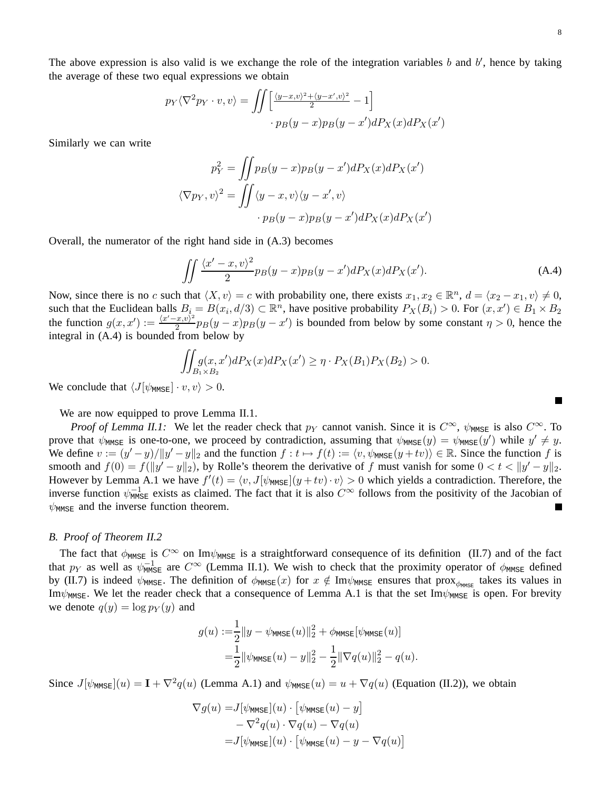The above expression is also valid is we exchange the role of the integration variables  $b$  and  $b'$ , hence by taking the average of these two equal expressions we obtain

$$
p_Y \langle \nabla^2 p_Y \cdot v, v \rangle = \iint \left[ \frac{\langle y - x, v \rangle^2 + \langle y - x', v \rangle^2}{2} - 1 \right] \cdot p_B(y - x) p_B(y - x') dP_X(x) dP_X(x')
$$

Similarly we can write

$$
p_Y^2 = \iint p_B(y-x)p_B(y-x')dP_X(x)dP_X(x')
$$

$$
\langle \nabla p_Y, v \rangle^2 = \iint \langle y-x, v \rangle \langle y-x', v \rangle
$$

$$
\cdot p_B(y-x)p_B(y-x')dP_X(x)dP_X(x')
$$

Overall, the numerator of the right hand side in (A.3) becomes

$$
\iint \frac{\langle x'-x,v\rangle^2}{2} p_B(y-x) p_B(y-x') dP_X(x) dP_X(x'). \tag{A.4}
$$

Now, since there is no c such that  $\langle X, v \rangle = c$  with probability one, there exists  $x_1, x_2 \in \mathbb{R}^n$ ,  $d = \langle x_2 - x_1, v \rangle \neq 0$ , such that the Euclidean balls  $B_i = B(x_i, d/3) \subset \mathbb{R}^n$ , have positive probability  $P_X(B_i) > 0$ . For  $(x, x') \in B_1 \times B_2$ the function  $g(x, x') := \frac{\langle x'-x, v \rangle^2}{2}$  $\frac{(x,v)^2}{2}$  $p_B(y-x)p_B(y-x')$  is bounded from below by some constant  $\eta > 0$ , hence the integral in (A.4) is bounded from below by

$$
\iint_{B_1\times B_2} g(x, x')dP_X(x)dP_X(x') \ge \eta \cdot P_X(B_1)P_X(B_2) > 0.
$$

We conclude that  $\langle J[\psi_{\text{MMSE}}] \cdot v, v \rangle > 0$ .

We are now equipped to prove Lemma II.1.

*Proof of Lemma II.1:* We let the reader check that  $p_Y$  cannot vanish. Since it is  $C^{\infty}$ ,  $\psi_{MMSE}$  is also  $C^{\infty}$ . To prove that  $\psi_{\text{MMSE}}$  is one-to-one, we proceed by contradiction, assuming that  $\psi_{\text{MMSE}}(y) = \psi_{\text{MMSE}}(y')$  while  $y' \neq y$ . We define  $v := (y'-y)/||y'-y||_2$  and the function  $f : t \mapsto f(t) := \langle v, \psi_{\text{MMSE}}(y+tv) \rangle \in \mathbb{R}$ . Since the function f is smooth and  $f(0) = f(||y' - y||_2)$ , by Rolle's theorem the derivative of f must vanish for some  $0 < t < ||y' - y||_2$ . However by Lemma A.1 we have  $f'(t) = \langle v, J[\psi_{MMSE}](y + tv) \cdot v \rangle > 0$  which yields a contradiction. Therefore, the inverse function  $\psi_{\text{MMSE}}^{-1}$  exists as claimed. The fact that it is also  $C^{\infty}$  follows from the positivity of the Jacobian of  $\psi_{\text{MMSE}}$  and the inverse function theorem.

#### *B. Proof of Theorem II.2*

The fact that  $\phi_{MMSE}$  is  $C^{\infty}$  on Im $\psi_{MMSE}$  is a straightforward consequence of its definition (II.7) and of the fact that  $p_Y$  as well as  $\psi_{MMSE}^{-1}$  are  $C^{\infty}$  (Lemma II.1). We wish to check that the proximity operator of  $\phi_{MMSE}$  defined by (II.7) is indeed  $\psi_{\text{MMSE}}$ . The definition of  $\phi_{\text{MMSE}}(x)$  for  $x \notin \text{Im}\psi_{\text{MMSE}}$  ensures that prox $\phi_{\text{MMSE}}$  takes its values in Im $\psi_{MMSE}$ . We let the reader check that a consequence of Lemma A.1 is that the set Im $\psi_{MMSE}$  is open. For brevity we denote  $q(y) = \log p_Y(y)$  and

$$
g(u) := \frac{1}{2} ||y - \psi_{\text{MMSE}}(u)||_2^2 + \phi_{\text{MMSE}}[\psi_{\text{MMSE}}(u)]
$$
  
= 
$$
\frac{1}{2} ||\psi_{\text{MMSE}}(u) - y||_2^2 - \frac{1}{2} ||\nabla q(u)||_2^2 - q(u).
$$

Since  $J[\psi_{MMSE}](u) = \mathbf{I} + \nabla^2 q(u)$  (Lemma A.1) and  $\psi_{MMSE}(u) = u + \nabla q(u)$  (Equation (II.2)), we obtain

$$
\nabla g(u) = J[\psi_{\text{MMSE}}](u) \cdot [\psi_{\text{MMSE}}(u) - y] - \nabla^2 g(u) \cdot \nabla g(u) - \nabla q(u) = J[\psi_{\text{MMSE}}](u) \cdot [\psi_{\text{MMSE}}(u) - y - \nabla q(u)]
$$

 $\blacksquare$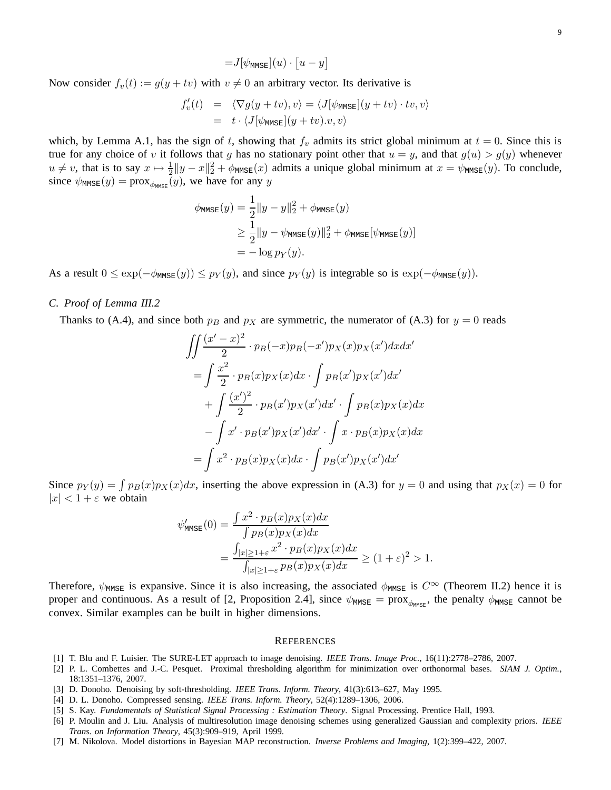$$
=J[\psi_{\text{MMSE}}](u)\cdot [u-y]
$$

Now consider  $f_v(t) := g(y + tv)$  with  $v \neq 0$  an arbitrary vector. Its derivative is

$$
f'_v(t) = \langle \nabla g(y + tv), v \rangle = \langle J[\psi_{\text{MMSE}}](y + tv) \cdot tv, v \rangle
$$
  
=  $t \cdot \langle J[\psi_{\text{MMSE}}](y + tv).v, v \rangle$ 

which, by Lemma A.1, has the sign of t, showing that  $f_v$  admits its strict global minimum at  $t = 0$ . Since this is true for any choice of v it follows that g has no stationary point other that  $u = y$ , and that  $g(u) > g(y)$  whenever  $u \neq v$ , that is to say  $x \mapsto \frac{1}{2} ||y - x||^2 + \phi_{MMSE}(x)$  admits a unique global minimum at  $x = \psi_{MMSE}(y)$ . To conclude, since  $\psi_{\text{MMSE}}(y) = \text{prox}_{\phi_{\text{MMSE}}}(y)$ , we have for any y

$$
\phi_{\text{MMSE}}(y) = \frac{1}{2} ||y - y||_2^2 + \phi_{\text{MMSE}}(y)
$$
  
\n
$$
\geq \frac{1}{2} ||y - \psi_{\text{MMSE}}(y)||_2^2 + \phi_{\text{MMSE}}[\psi_{\text{MMSE}}(y)]
$$
  
\n
$$
= -\log p_Y(y).
$$

As a result  $0 \le \exp(-\phi_{\text{MMSE}}(y)) \le p_Y(y)$ , and since  $p_Y(y)$  is integrable so is  $\exp(-\phi_{\text{MMSE}}(y))$ .

### *C. Proof of Lemma III.2*

Thanks to (A.4), and since both  $p_B$  and  $p_X$  are symmetric, the numerator of (A.3) for  $y = 0$  reads

$$
\iint \frac{(x'-x)^2}{2} \cdot p_B(-x)p_B(-x')p_X(x)p_X(x')dxdx'
$$
  
= 
$$
\int \frac{x^2}{2} \cdot p_B(x)p_X(x)dx \cdot \int p_B(x')p_X(x')dx'
$$
  
+ 
$$
\int \frac{(x')^2}{2} \cdot p_B(x')p_X(x')dx' \cdot \int p_B(x)p_X(x)dx
$$
  
- 
$$
\int x' \cdot p_B(x')p_X(x')dx' \cdot \int x \cdot p_B(x)p_X(x)dx
$$
  
= 
$$
\int x^2 \cdot p_B(x)p_X(x)dx \cdot \int p_B(x')p_X(x')dx'
$$

Since  $p_Y(y) = \int p_B(x)p_X(x)dx$ , inserting the above expression in (A.3) for  $y = 0$  and using that  $p_X(x) = 0$  for  $|x| < 1 + \varepsilon$  we obtain

$$
\psi_{\text{MMSE}}'(0) = \frac{\int x^2 \cdot p_B(x) p_X(x) dx}{\int p_B(x) p_X(x) dx}
$$
  
= 
$$
\frac{\int_{|x| \ge 1 + \varepsilon} x^2 \cdot p_B(x) p_X(x) dx}{\int_{|x| \ge 1 + \varepsilon} p_B(x) p_X(x) dx} \ge (1 + \varepsilon)^2 > 1.
$$

Therefore,  $\psi_{\text{MMSE}}$  is expansive. Since it is also increasing, the associated  $\phi_{\text{MMSE}}$  is  $C^{\infty}$  (Theorem II.2) hence it is proper and continuous. As a result of [2, Proposition 2.4], since  $\psi_{MMSE} = prox_{\phi_{MMSE}}$ , the penalty  $\phi_{MMSE}$  cannot be convex. Similar examples can be built in higher dimensions.

#### **REFERENCES**

- [1] T. Blu and F. Luisier. The SURE-LET approach to image denoising. *IEEE Trans. Image Proc.*, 16(11):2778–2786, 2007.
- [2] P. L. Combettes and J.-C. Pesquet. Proximal thresholding algorithm for minimization over orthonormal bases. *SIAM J. Optim.*, 18:1351–1376, 2007.
- [3] D. Donoho. Denoising by soft-thresholding. *IEEE Trans. Inform. Theory*, 41(3):613–627, May 1995.
- [4] D. L. Donoho. Compressed sensing. *IEEE Trans. Inform. Theory*, 52(4):1289–1306, 2006.
- [5] S. Kay. *Fundamentals of Statistical Signal Processing : Estimation Theory*. Signal Processing. Prentice Hall, 1993.

[7] M. Nikolova. Model distortions in Bayesian MAP reconstruction. *Inverse Problems and Imaging*, 1(2):399–422, 2007.

<sup>[6]</sup> P. Moulin and J. Liu. Analysis of multiresolution image denoising schemes using generalized Gaussian and complexity priors. *IEEE Trans. on Information Theory*, 45(3):909–919, April 1999.